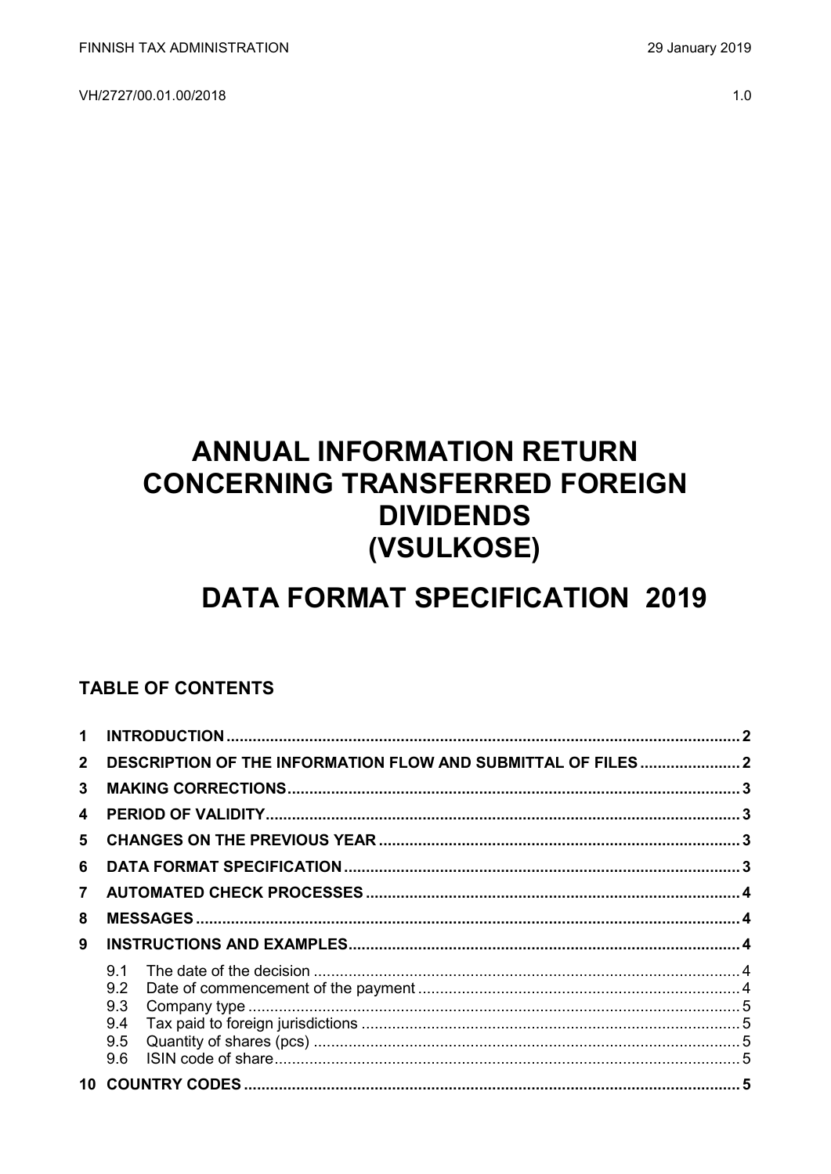VH/2727/00.01.00/2018

# **ANNUAL INFORMATION RETURN CONCERNING TRANSFERRED FOREIGN DIVIDENDS** (VSULKOSE)

## **DATA FORMAT SPECIFICATION 2019**

## **TABLE OF CONTENTS**

| 1              |            |  |
|----------------|------------|--|
| $\mathbf{2}$   |            |  |
| 3              |            |  |
| 4              |            |  |
| 5.             |            |  |
| 6              |            |  |
| $\overline{7}$ |            |  |
| 8              |            |  |
| 9              |            |  |
|                | 9.1<br>9.2 |  |
|                | 9.3        |  |
|                | 9.4        |  |
|                | 9.5        |  |
|                | 9.6        |  |
|                |            |  |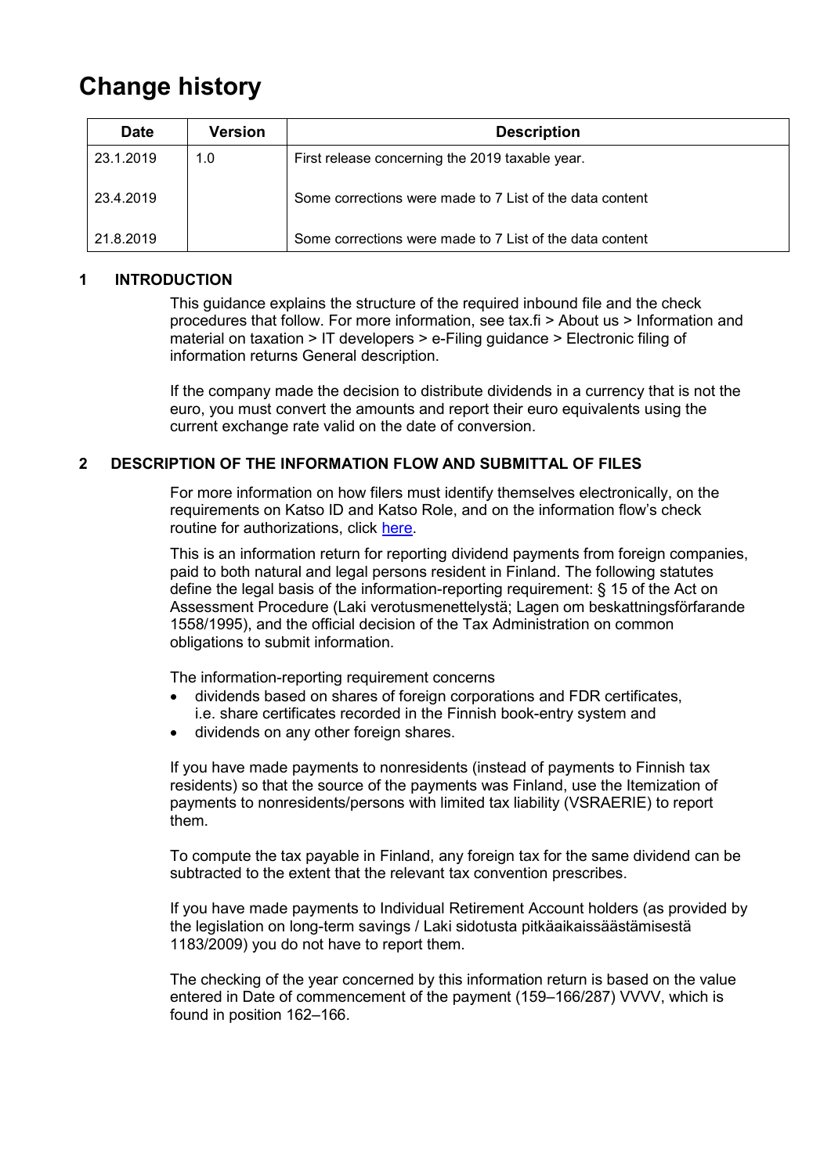## **Change history**

| <b>Date</b> | <b>Version</b> | <b>Description</b>                                       |
|-------------|----------------|----------------------------------------------------------|
| 23.1.2019   | 1.0            | First release concerning the 2019 taxable year.          |
| 23.4.2019   |                | Some corrections were made to 7 List of the data content |
| 21.8.2019   |                | Some corrections were made to 7 List of the data content |

## <span id="page-1-0"></span>**1 INTRODUCTION**

This guidance explains the structure of the required inbound file and the check procedures that follow. For more information, see tax.fi > About us > Information and material on taxation > IT developers > e-Filing guidance > Electronic filing of information returns General description.

If the company made the decision to distribute dividends in a currency that is not the euro, you must convert the amounts and report their euro equivalents using the current exchange rate valid on the date of conversion.

## <span id="page-1-1"></span>**2 DESCRIPTION OF THE INFORMATION FLOW AND SUBMITTAL OF FILES**

For more information on how filers must identify themselves electronically, on the requirements on Katso ID and Katso Role, and on the information flow's check routine for authorizations, click [here.](https://www.ilmoitin.fi/webtamo/sivut/IlmoituslajiRoolit?kieli=en&tv=VSULKOSE)

This is an information return for reporting dividend payments from foreign companies, paid to both natural and legal persons resident in Finland. The following statutes define the legal basis of the information-reporting requirement: § 15 of the Act on Assessment Procedure (Laki verotusmenettelystä; Lagen om beskattningsförfarande 1558/1995), and the official decision of the Tax Administration on common obligations to submit information.

The information-reporting requirement concerns

- dividends based on shares of foreign corporations and FDR certificates, i.e. share certificates recorded in the Finnish book-entry system and
- dividends on any other foreign shares.

If you have made payments to nonresidents (instead of payments to Finnish tax residents) so that the source of the payments was Finland, use the Itemization of payments to nonresidents/persons with limited tax liability (VSRAERIE) to report them.

To compute the tax payable in Finland, any foreign tax for the same dividend can be subtracted to the extent that the relevant tax convention prescribes.

If you have made payments to Individual Retirement Account holders (as provided by the legislation on long-term savings / Laki sidotusta pitkäaikaissäästämisestä 1183/2009) you do not have to report them.

The checking of the year concerned by this information return is based on the value entered in Date of commencement of the payment (159–166/287) VVVV, which is found in position 162–166.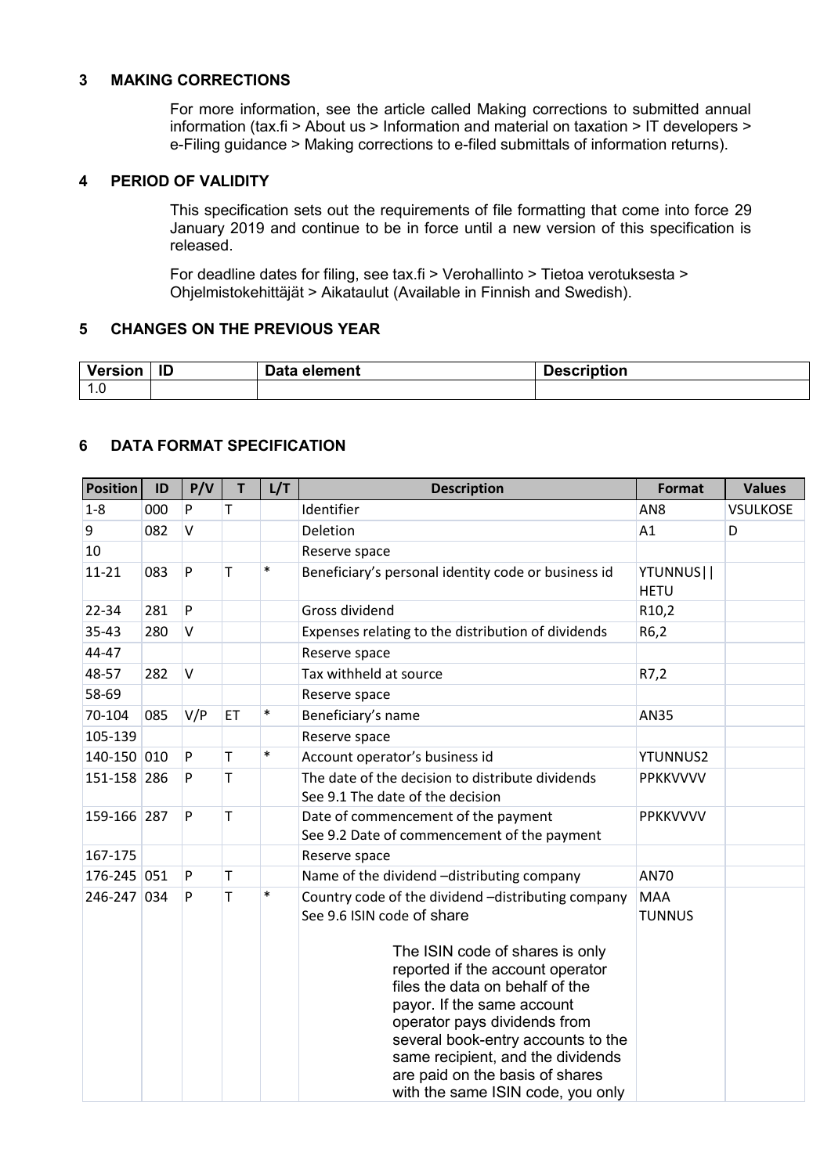#### <span id="page-2-0"></span>**3 MAKING CORRECTIONS**

For more information, see the article called Making corrections to submitted annual information (tax.fi > About us > Information and material on taxation > IT developers > e-Filing guidance > Making corrections to e-filed submittals of information returns).

## <span id="page-2-1"></span>**4 PERIOD OF VALIDITY**

This specification sets out the requirements of file formatting that come into force 29 January 2019 and continue to be in force until a new version of this specification is released.

For deadline dates for filing, see tax.fi > Verohallinto > Tietoa verotuksesta > Ohjelmistokehittäjät > Aikataulut (Available in Finnish and Swedish).

## <span id="page-2-2"></span>**5 CHANGES ON THE PREVIOUS YEAR**

| Version<br>rersioi     | - 11 | Data element | <b>Description</b> |
|------------------------|------|--------------|--------------------|
| $\overline{ }$<br>1. U |      |              |                    |

#### <span id="page-2-3"></span>**6 DATA FORMAT SPECIFICATION**

| <b>Position</b> | ID  | P/V       | T  | L/T    | <b>Description</b>                                                                                                                                                                                                                                                                                                                                                                                          | <b>Format</b>               | <b>Values</b>   |
|-----------------|-----|-----------|----|--------|-------------------------------------------------------------------------------------------------------------------------------------------------------------------------------------------------------------------------------------------------------------------------------------------------------------------------------------------------------------------------------------------------------------|-----------------------------|-----------------|
| $1 - 8$         | 000 | P         | Т  |        | Identifier                                                                                                                                                                                                                                                                                                                                                                                                  | AN <sub>8</sub>             | <b>VSULKOSE</b> |
| 9               | 082 | $\vee$    |    |        | Deletion                                                                                                                                                                                                                                                                                                                                                                                                    | A1                          | D               |
| 10              |     |           |    |        | Reserve space                                                                                                                                                                                                                                                                                                                                                                                               |                             |                 |
| $11 - 21$       | 083 | P         | T  | $\ast$ | Beneficiary's personal identity code or business id                                                                                                                                                                                                                                                                                                                                                         | YTUNNUS  <br><b>HETU</b>    |                 |
| 22-34           | 281 | ${\sf P}$ |    |        | Gross dividend                                                                                                                                                                                                                                                                                                                                                                                              | R <sub>10</sub> ,2          |                 |
| $35 - 43$       | 280 | $\vee$    |    |        | Expenses relating to the distribution of dividends                                                                                                                                                                                                                                                                                                                                                          | R6,2                        |                 |
| 44-47           |     |           |    |        | Reserve space                                                                                                                                                                                                                                                                                                                                                                                               |                             |                 |
| 48-57           | 282 | $\vee$    |    |        | Tax withheld at source                                                                                                                                                                                                                                                                                                                                                                                      | R7,2                        |                 |
| 58-69           |     |           |    |        | Reserve space                                                                                                                                                                                                                                                                                                                                                                                               |                             |                 |
| 70-104          | 085 | V/P       | ET | $\ast$ | Beneficiary's name                                                                                                                                                                                                                                                                                                                                                                                          | <b>AN35</b>                 |                 |
| 105-139         |     |           |    |        | Reserve space                                                                                                                                                                                                                                                                                                                                                                                               |                             |                 |
| 140-150 010     |     | P         | T  | $\ast$ | Account operator's business id                                                                                                                                                                                                                                                                                                                                                                              | <b>YTUNNUS2</b>             |                 |
| 151-158 286     |     | P         | Τ  |        | The date of the decision to distribute dividends<br>See 9.1 The date of the decision                                                                                                                                                                                                                                                                                                                        | PPKKVVVV                    |                 |
| 159-166 287     |     | P         | T  |        | Date of commencement of the payment<br>See 9.2 Date of commencement of the payment                                                                                                                                                                                                                                                                                                                          | PPKKVVVV                    |                 |
| 167-175         |     |           |    |        | Reserve space                                                                                                                                                                                                                                                                                                                                                                                               |                             |                 |
| 176-245 051     |     | P         | T  |        | Name of the dividend -distributing company                                                                                                                                                                                                                                                                                                                                                                  | AN70                        |                 |
| 246-247 034     |     | P         | T  | $\ast$ | Country code of the dividend -distributing company<br>See 9.6 ISIN code of share<br>The ISIN code of shares is only<br>reported if the account operator<br>files the data on behalf of the<br>payor. If the same account<br>operator pays dividends from<br>several book-entry accounts to the<br>same recipient, and the dividends<br>are paid on the basis of shares<br>with the same ISIN code, you only | <b>MAA</b><br><b>TUNNUS</b> |                 |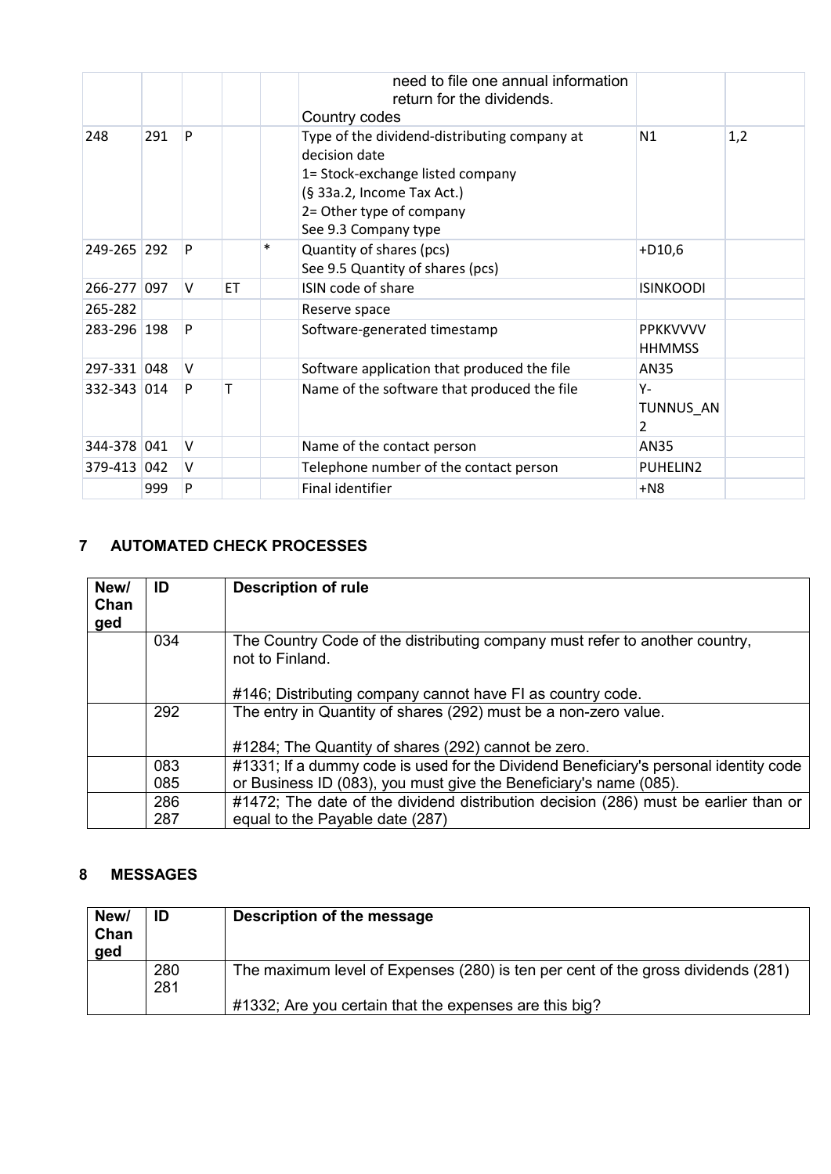|             |     |        |           |        | need to file one annual information<br>return for the dividends.<br>Country codes                                                                                                   |                                  |     |
|-------------|-----|--------|-----------|--------|-------------------------------------------------------------------------------------------------------------------------------------------------------------------------------------|----------------------------------|-----|
| 248         | 291 | P      |           |        | Type of the dividend-distributing company at<br>decision date<br>1= Stock-exchange listed company<br>(§ 33a.2, Income Tax Act.)<br>2= Other type of company<br>See 9.3 Company type | N1                               | 1,2 |
| 249-265 292 |     | P      |           | $\ast$ | Quantity of shares (pcs)<br>See 9.5 Quantity of shares (pcs)                                                                                                                        | $+D10,6$                         |     |
| 266-277 097 |     | $\vee$ | <b>ET</b> |        | ISIN code of share                                                                                                                                                                  | <b>ISINKOODI</b>                 |     |
| 265-282     |     |        |           |        | Reserve space                                                                                                                                                                       |                                  |     |
| 283-296 198 |     | P      |           |        | Software-generated timestamp                                                                                                                                                        | <b>PPKKVVVV</b><br><b>HHMMSS</b> |     |
| 297-331 048 |     | V      |           |        | Software application that produced the file                                                                                                                                         | AN35                             |     |
| 332-343 014 |     | P      | т         |        | Name of the software that produced the file                                                                                                                                         | Υ-<br>TUNNUS AN<br>2             |     |
| 344-378 041 |     | V      |           |        | Name of the contact person                                                                                                                                                          | <b>AN35</b>                      |     |
| 379-413 042 |     | V      |           |        | Telephone number of the contact person                                                                                                                                              | PUHELIN2                         |     |
|             | 999 | P      |           |        | Final identifier                                                                                                                                                                    | $+NS$                            |     |

## <span id="page-3-0"></span>**7 AUTOMATED CHECK PROCESSES**

| New/<br>Chan<br>ged | ID         | <b>Description of rule</b>                                                                                                                                   |
|---------------------|------------|--------------------------------------------------------------------------------------------------------------------------------------------------------------|
|                     | 034        | The Country Code of the distributing company must refer to another country,<br>not to Finland.<br>#146; Distributing company cannot have FI as country code. |
|                     | 292        | The entry in Quantity of shares (292) must be a non-zero value.<br>#1284; The Quantity of shares (292) cannot be zero.                                       |
|                     | 083<br>085 | #1331; If a dummy code is used for the Dividend Beneficiary's personal identity code<br>or Business ID (083), you must give the Beneficiary's name (085).    |
|                     | 286<br>287 | #1472; The date of the dividend distribution decision (286) must be earlier than or<br>equal to the Payable date (287)                                       |

## <span id="page-3-1"></span>**8 MESSAGES**

| New/<br>Chan<br>ged | ID         | Description of the message                                                       |
|---------------------|------------|----------------------------------------------------------------------------------|
|                     | 280<br>281 | The maximum level of Expenses (280) is ten per cent of the gross dividends (281) |
|                     |            | #1332; Are you certain that the expenses are this big?                           |